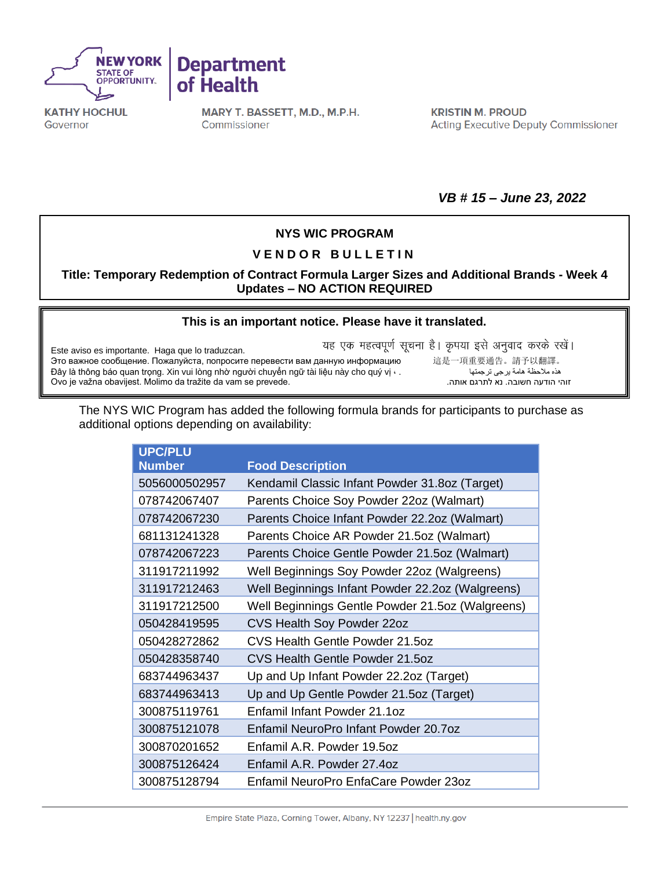



**KATHY HOCHUL** Governor

MARY T. BASSETT, M.D., M.P.H. Commissioner

**KRISTIN M. PROUD Acting Executive Deputy Commissioner** 

*VB # 15 – June 23, 2022*

## **NYS WIC PROGRAM**

## **V E N D O R B U L L E T I N**

**Title: Temporary Redemption of Contract Formula Larger Sizes and Additional Brands - Week 4 Updates – NO ACTION REQUIRED**

## **[This is an important notice. Please have it translated.](https://nysemail-my.sharepoint.com/personal/kierian_cochran_health_ny_gov/Documents/Downloads/ExportToExcel1116675%20-%202022-05-10T080246.734.xls?web=1)**

Este aviso es importante. Haga que lo traduzcan. Это важное сообщение. Пожалуйста, попросите перевести вам данную информацию 這是一項重要通告。請予以翻譯。 Đây là thông báo quan trọng. Xin vui lòng nhờ người chuyển ngữ tài liệu này cho quý vị · . Ovo je važna obavijest. Molimo da tražite da vam se prevede..אותה לתרגם נא .חשובה הודעה זוהי

यह एक महत्वपूर्ण सूचना है। कृपया इसे अनुवाद करके रखें।

The NYS WIC Program has added the following formula brands for participants to purchase as additional options depending on availability:

| <b>UPC/PLU</b> |                                                  |
|----------------|--------------------------------------------------|
| <b>Number</b>  | <b>Food Description</b>                          |
| 5056000502957  | Kendamil Classic Infant Powder 31.80z (Target)   |
| 078742067407   | Parents Choice Soy Powder 22oz (Walmart)         |
| 078742067230   | Parents Choice Infant Powder 22.2oz (Walmart)    |
| 681131241328   | Parents Choice AR Powder 21.5oz (Walmart)        |
| 078742067223   | Parents Choice Gentle Powder 21.5oz (Walmart)    |
| 311917211992   | Well Beginnings Soy Powder 22oz (Walgreens)      |
| 311917212463   | Well Beginnings Infant Powder 22.2oz (Walgreens) |
| 311917212500   | Well Beginnings Gentle Powder 21.5oz (Walgreens) |
| 050428419595   | CVS Health Soy Powder 22oz                       |
| 050428272862   | CVS Health Gentle Powder 21.5oz                  |
| 050428358740   | CVS Health Gentle Powder 21.5oz                  |
| 683744963437   | Up and Up Infant Powder 22.2oz (Target)          |
| 683744963413   | Up and Up Gentle Powder 21.5oz (Target)          |
| 300875119761   | Enfamil Infant Powder 21.1oz                     |
| 300875121078   | Enfamil NeuroPro Infant Powder 20.7oz            |
| 300870201652   | Enfamil A.R. Powder 19.5oz                       |
| 300875126424   | Enfamil A.R. Powder 27.4oz                       |
| 300875128794   | Enfamil NeuroPro EnfaCare Powder 23oz            |